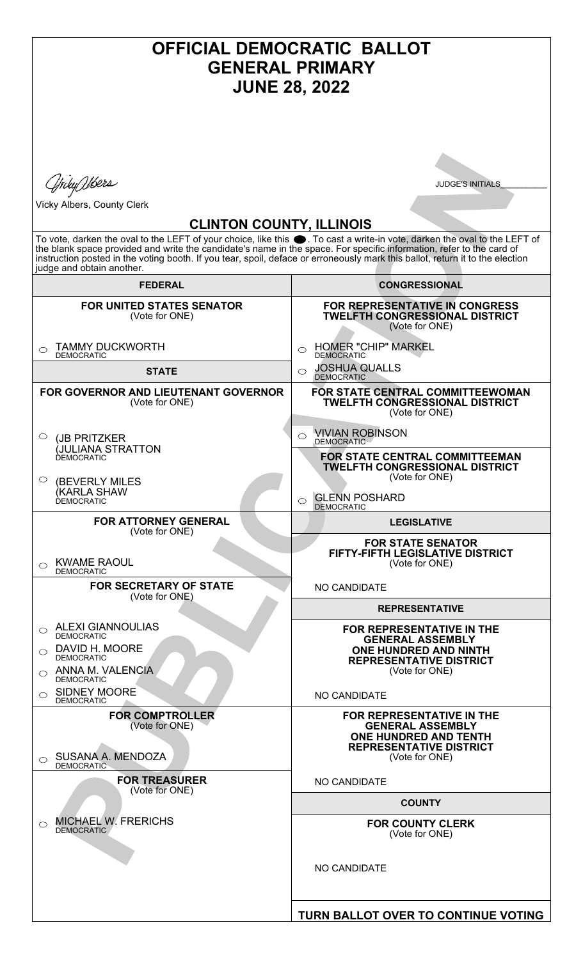## **OFFICIAL DEMOCRATIC BALLOT GENERAL PRIMARY JUNE 28, 2022** *Ajrdy Utsers* **JUDGE'S INITIALS** Vicky Albers, County Clerk **CLINTON COUNTY, ILLINOIS** To vote, darken the oval to the LEFT of your choice, like this  $\bullet$ . To cast a write-in vote, darken the oval to the LEFT of the blank space provided and write the candidate's name in the space. For specific information, refer to the card of instruction posted in the voting booth. If you tear, spoil, deface or erroneously mark this ballot, return it to the election judge and obtain another. **FEDERAL CONGRESSIONAL FOR UNITED STATES SENATOR FOR REPRESENTATIVE IN CONGRESS** (Vote for ONE) **TWELFTH CONGRESSIONAL DISTRICT** (Vote for ONE) O HOMER "CHIP" MARKEL TAMMY DUCKWORTH  $\bigcirc$ DEMOCRATIC DEMOCRATIC JOSHUA QUALLS **STATE**  $\circ$ DEMOCRATIC **FOR GOVERNOR AND LIEUTENANT GOVERNOR FOR STATE CENTRAL COMMITTEEWOMAN** (Vote for ONE) **TWELFTH CONGRESSIONAL DISTRICT** (Vote for ONE) VIVIAN ROBINSON  $\circ$ (JB PRITZKER  $\bigcirc$ DEMOCRATI (JULIANA STRATTON DEMOCRATIC **FOR STATE CENTRAL COMMITTEEMAN TWELFTH CONGRESSIONAL DISTRICT** (Vote for ONE)  $\circ$ (BEVERLY MILES (KARLA SHAW GLENN POSHARD DEMOCRATIC **DEMOCRATIC**  $\circ$ **FOR ATTORNEY GENERAL LEGISLATIVE** (Vote for ONE) **FOR STATE SENATOR FIFTY-FIFTH LEGISLATIVE DISTRICT** O KWAME RAOUL (Vote for ONE) DEMOCRATIC **FOR SECRETARY OF STATE** NO CANDIDATE (Vote for ONE) **REPRESENTATIVE** ALEXI GIANNOULIAS **FOR REPRESENTATIVE IN THE**  $\circ$ DEMOCRATIC **GENERAL ASSEMBLY**  DAVID H. MOORE **ONE HUNDRED AND NINTH**  $\circ$ DEMOCRATIC **REPRESENTATIVE DISTRICT** ANNA M. VALENCIA (Vote for ONE)  $\bigcirc$ DEMOCRATIC SIDNEY MOORE  $\bigcirc$ NO CANDIDATE **DEMOCRATIC FOR COMPTROLLER FOR REPRESENTATIVE IN THE** (Vote for ONE) **GENERAL ASSEMBLY ONE HUNDRED AND TENTH REPRESENTATIVE DISTRICT** SUSANA A. MENDOZA (Vote for ONE)  $\circ$ **DEMOCRATIC FOR TREASURER** NO CANDIDATE (Vote for ONE) **COUNTY** MICHAEL W. FRERICHS  $\circ$ **FOR COUNTY CLERK** DEMOCRATIC (Vote for ONE) NO CANDIDATE**TURN BALLOT OVER TO CONTINUE VOTING**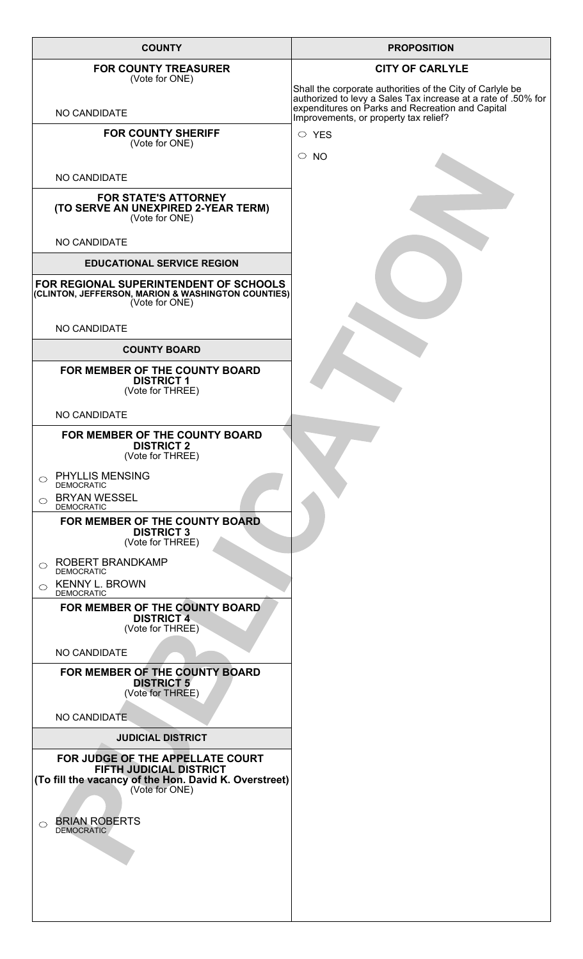| <b>COUNTY</b>                                                                                                                                 | <b>PROPOSITION</b>                                                                                                                                                             |
|-----------------------------------------------------------------------------------------------------------------------------------------------|--------------------------------------------------------------------------------------------------------------------------------------------------------------------------------|
| <b>FOR COUNTY TREASURER</b><br>(Vote for ONE)                                                                                                 | <b>CITY OF CARLYLE</b>                                                                                                                                                         |
| NO CANDIDATE                                                                                                                                  | Shall the corporate authorities of the City of Carlyle be<br>authorized to levy a Sales Tax increase at a rate of .50% for<br>expenditures on Parks and Recreation and Capital |
| <b>FOR COUNTY SHERIFF</b>                                                                                                                     | Improvements, or property tax relief?<br>$\circ$ YES                                                                                                                           |
| (Vote for ONE)                                                                                                                                | $\circ$ NO                                                                                                                                                                     |
| NO CANDIDATE                                                                                                                                  |                                                                                                                                                                                |
| <b>FOR STATE'S ATTORNEY</b><br>(TO SERVE AN UNEXPIRED 2-YEAR TERM)<br>(Vote for ONE)                                                          |                                                                                                                                                                                |
| NO CANDIDATE                                                                                                                                  |                                                                                                                                                                                |
| <b>EDUCATIONAL SERVICE REGION</b>                                                                                                             |                                                                                                                                                                                |
| FOR REGIONAL SUPERINTENDENT OF SCHOOLS<br>(CLINTON, JEFFERSON, MARION & WASHINGTON COUNTIES)<br>(Vote for ONE)                                |                                                                                                                                                                                |
| NO CANDIDATE                                                                                                                                  |                                                                                                                                                                                |
| <b>COUNTY BOARD</b>                                                                                                                           |                                                                                                                                                                                |
| FOR MEMBER OF THE COUNTY BOARD<br><b>DISTRICT 1</b><br>(Vote for THREE)                                                                       |                                                                                                                                                                                |
| NO CANDIDATE                                                                                                                                  |                                                                                                                                                                                |
| FOR MEMBER OF THE COUNTY BOARD<br><b>DISTRICT 2</b><br>(Vote for THREE)                                                                       |                                                                                                                                                                                |
| <b>PHYLLIS MENSING</b><br>$\circ$<br><b>DEMOCRATIC</b>                                                                                        |                                                                                                                                                                                |
| <b>BRYAN WESSEL</b><br>$\bigcirc$<br><b>DEMOCRATIC</b>                                                                                        |                                                                                                                                                                                |
| FOR MEMBER OF THE COUNTY BOARD.<br><b>DISTRICT 3</b><br>(Vote for THREE)                                                                      |                                                                                                                                                                                |
| ROBERT BRANDKAMP<br>◯<br><b>DEMOCRATIC</b>                                                                                                    |                                                                                                                                                                                |
| <b>KENNY L. BROWN</b><br>$\bigcirc$<br><b>DEMOCRATIC</b>                                                                                      |                                                                                                                                                                                |
| FOR MEMBER OF THE COUNTY BOARD<br><b>DISTRICT 4</b><br>(Vote for THREE)                                                                       |                                                                                                                                                                                |
| NO CANDIDATE                                                                                                                                  |                                                                                                                                                                                |
| FOR MEMBER OF THE COUNTY BOARD<br><b>DISTRICT 5</b><br>(Vote for THREE)                                                                       |                                                                                                                                                                                |
| NO CANDIDATE                                                                                                                                  |                                                                                                                                                                                |
| <b>JUDICIAL DISTRICT</b>                                                                                                                      |                                                                                                                                                                                |
| FOR JUDGE OF THE APPELLATE COURT<br><b>FIFTH JUDICIAL DISTRICT</b><br>(To fill the vacancy of the Hon. David K. Overstreet)<br>(Vote for ONE) |                                                                                                                                                                                |
|                                                                                                                                               |                                                                                                                                                                                |
| <b>BRIAN ROBERTS</b><br>◯<br><b>DEMOCRATIC</b>                                                                                                |                                                                                                                                                                                |
|                                                                                                                                               |                                                                                                                                                                                |
|                                                                                                                                               |                                                                                                                                                                                |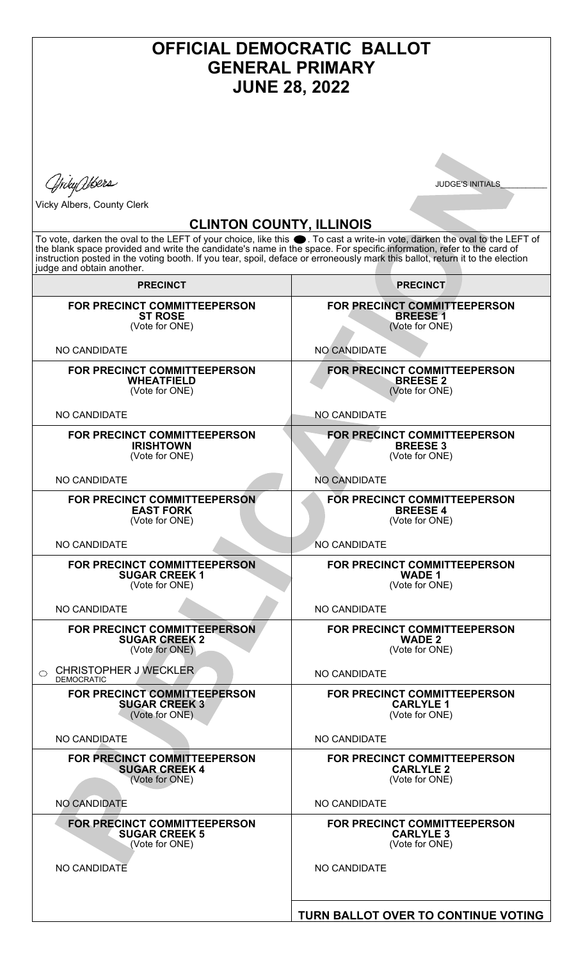| <b>OFFICIAL DEMOCRATIC BALLOT</b><br><b>GENERAL PRIMARY</b><br><b>JUNE 28, 2022</b>                                                                                                                                                                                                                                                                                                                                                                |                                                                          |
|----------------------------------------------------------------------------------------------------------------------------------------------------------------------------------------------------------------------------------------------------------------------------------------------------------------------------------------------------------------------------------------------------------------------------------------------------|--------------------------------------------------------------------------|
|                                                                                                                                                                                                                                                                                                                                                                                                                                                    |                                                                          |
| Yrdy Wbers                                                                                                                                                                                                                                                                                                                                                                                                                                         | <b>JUDGE'S INITIALS</b>                                                  |
| <b>Vicky Albers, County Clerk</b>                                                                                                                                                                                                                                                                                                                                                                                                                  |                                                                          |
| <b>CLINTON COUNTY, ILLINOIS</b><br>To vote, darken the oval to the LEFT of your choice, like this ●. To cast a write-in vote, darken the oval to the LEFT of<br>the blank space provided and write the candidate's name in the space. For specific information, refer to the card of<br>instruction posted in the voting booth. If you tear, spoil, deface or erroneously mark this ballot, return it to the election<br>judge and obtain another. |                                                                          |
| <b>PRECINCT</b>                                                                                                                                                                                                                                                                                                                                                                                                                                    | <b>PRECINCT</b>                                                          |
| FOR PRECINCT COMMITTEEPERSON<br><b>ST ROSE</b><br>(Vote for ONE)                                                                                                                                                                                                                                                                                                                                                                                   | FOR PRECINCT COMMITTEEPERSON<br><b>BREESE1</b><br>(Vote for ONE)         |
| <b>NO CANDIDATE</b>                                                                                                                                                                                                                                                                                                                                                                                                                                | NO CANDIDATE                                                             |
| FOR PRECINCT COMMITTEEPERSON<br><b>WHEATFIELD</b><br>(Vote for ONE)                                                                                                                                                                                                                                                                                                                                                                                | FOR PRECINCT COMMITTEEPERSON<br><b>BREESE 2</b><br>(Vote for ONE)        |
| <b>NO CANDIDATE</b>                                                                                                                                                                                                                                                                                                                                                                                                                                | <b>NO CANDIDATE</b>                                                      |
| <b>FOR PRECINCT COMMITTEEPERSON</b><br><b>IRISHTOWN</b><br>(Vote for ONE)                                                                                                                                                                                                                                                                                                                                                                          | <b>FOR PRECINCT COMMITTEEPERSON</b><br><b>BREESE 3</b><br>(Vote for ONE) |
| <b>NO CANDIDATE</b>                                                                                                                                                                                                                                                                                                                                                                                                                                | <b>NO CANDIDATE</b>                                                      |
| FOR PRECINCT COMMITTEEPERSON<br><b>EAST FORK</b><br>(Vote for ONE)                                                                                                                                                                                                                                                                                                                                                                                 | FOR PRECINCT COMMITTEEPERSON<br><b>BREESE 4</b><br>(Vote for ONE)        |
| <b>NO CANDIDATE</b>                                                                                                                                                                                                                                                                                                                                                                                                                                | <b>NO CANDIDATE</b>                                                      |
| <b>FOR PRECINCT COMMITTEEPERSON</b><br><b>SUGAR CREEK 1</b><br>(Vote for ONE)                                                                                                                                                                                                                                                                                                                                                                      | FOR PRECINCT COMMITTEEPERSON<br><b>WADE 1</b><br>(Vote for ONE)          |
| <b>NO CANDIDATE</b>                                                                                                                                                                                                                                                                                                                                                                                                                                | NO CANDIDATE                                                             |
| FOR PRECINCT COMMITTEEPERSON<br><b>SUGAR CREEK 2</b><br>(Vote for ONE)                                                                                                                                                                                                                                                                                                                                                                             | <b>FOR PRECINCT COMMITTEEPERSON</b><br><b>WADE 2</b><br>(Vote for ONE)   |
| <b>CHRISTOPHER J WECKLER</b><br>$\bigcirc$<br><b>DEMOCRATIC</b>                                                                                                                                                                                                                                                                                                                                                                                    | NO CANDIDATE                                                             |
| FOR PRECINCT COMMITTEEPERSON<br><b>SUGAR CREEK 3</b><br>(Vote for ONE)                                                                                                                                                                                                                                                                                                                                                                             | FOR PRECINCT COMMITTEEPERSON<br><b>CARLYLE 1</b><br>(Vote for ONE)       |
| NO CANDIDATE                                                                                                                                                                                                                                                                                                                                                                                                                                       | NO CANDIDATE                                                             |
| FOR PRECINCT COMMITTEEPERSON<br><b>SUGAR CREEK 4</b><br>(Vote for ONE)                                                                                                                                                                                                                                                                                                                                                                             | FOR PRECINCT COMMITTEEPERSON<br><b>CARLYLE 2</b><br>(Vote for ONE)       |
| <b>NO CANDIDATE</b>                                                                                                                                                                                                                                                                                                                                                                                                                                | NO CANDIDATE                                                             |
| <b>FOR PRECINCT COMMITTEEPERSON</b><br><b>SUGAR CREEK 5</b><br>(Vote for ONE)                                                                                                                                                                                                                                                                                                                                                                      | FOR PRECINCT COMMITTEEPERSON<br><b>CARLYLE 3</b><br>(Vote for ONE)       |
| <b>NO CANDIDATE</b>                                                                                                                                                                                                                                                                                                                                                                                                                                | <b>NO CANDIDATE</b>                                                      |
|                                                                                                                                                                                                                                                                                                                                                                                                                                                    | TURN BALLOT OVER TO CONTINUE VOTING                                      |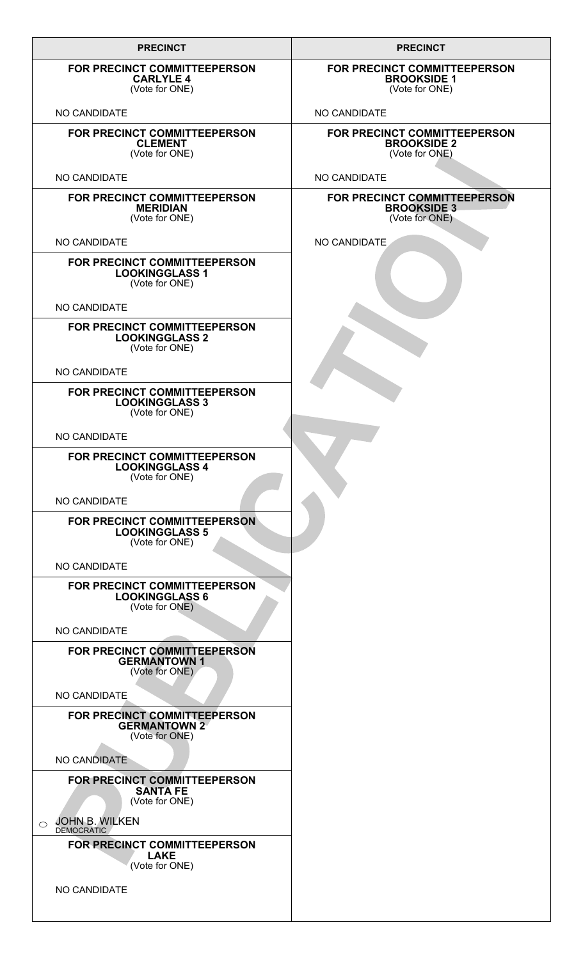| <b>PRECINCT</b>                                                                | <b>PRECINCT</b>                                                      |
|--------------------------------------------------------------------------------|----------------------------------------------------------------------|
| FOR PRECINCT COMMITTEEPERSON<br><b>CARLYLE 4</b><br>(Vote for ONE)             | FOR PRECINCT COMMITTEEPERSON<br><b>BROOKSIDE 1</b><br>(Vote for ONE) |
| <b>NO CANDIDATE</b>                                                            | NO CANDIDATE                                                         |
| FOR PRECINCT COMMITTEEPERSON<br><b>CLEMENT</b><br>(Vote for ONE)               | FOR PRECINCT COMMITTEEPERSON<br><b>BROOKSIDE 2</b><br>(Vote for ONE) |
| NO CANDIDATE                                                                   | NO CANDIDATE                                                         |
| FOR PRECINCT COMMITTEEPERSON<br><b>MERIDIAN</b><br>(Vote for ONE)              | FOR PRECINCT COMMITTEEPERSON<br><b>BROOKSIDE 3</b><br>(Vote for ONE) |
| <b>NO CANDIDATE</b>                                                            | NO CANDIDATE                                                         |
| FOR PRECINCT COMMITTEEPERSON<br><b>LOOKINGGLASS 1</b><br>(Vote for ONE)        |                                                                      |
| <b>NO CANDIDATE</b>                                                            |                                                                      |
| FOR PRECINCT COMMITTEEPERSON<br><b>LOOKINGGLASS 2</b><br>(Vote for ONE)        |                                                                      |
| NO CANDIDATE                                                                   |                                                                      |
| FOR PRECINCT COMMITTEEPERSON<br><b>LOOKINGGLASS 3</b><br>(Vote for ONE)        |                                                                      |
| <b>NO CANDIDATE</b>                                                            |                                                                      |
| FOR PRECINCT COMMITTEEPERSON<br><b>LOOKINGGLASS 4</b><br>(Vote for ONE)        |                                                                      |
| <b>NO CANDIDATE</b>                                                            |                                                                      |
| <b>FOR PRECINCT COMMITTEEPERSON</b><br><b>LOOKINGGLASS 5</b><br>(Vote for ONE) |                                                                      |
| NO CANDIDATE                                                                   |                                                                      |
| FOR PRECINCT COMMITTEEPERSON<br><b>LOOKINGGLASS 6</b><br>(Vote for ONE)        |                                                                      |
| NO CANDIDATE                                                                   |                                                                      |
| FOR PRECINCT COMMITTEEPERSON<br><b>GERMANTOWN 1</b><br>(Vote for ONE)          |                                                                      |
| NO CANDIDATE                                                                   |                                                                      |
| FOR PRECINCT COMMITTEEPERSON<br><b>GERMANTOWN 2</b><br>(Vote for ONE)          |                                                                      |
| NO CANDIDATE                                                                   |                                                                      |
| FOR PRECINCT COMMITTEEPERSON<br><b>SANTA FE</b><br>(Vote for ONE)              |                                                                      |
| JOHN B. WILKEN<br>$\bigcirc$<br><b>DEMOCRATIC</b>                              |                                                                      |
| FOR PRECINCT COMMITTEEPERSON<br><b>LAKE</b><br>(Vote for ONE)                  |                                                                      |
| NO CANDIDATE                                                                   |                                                                      |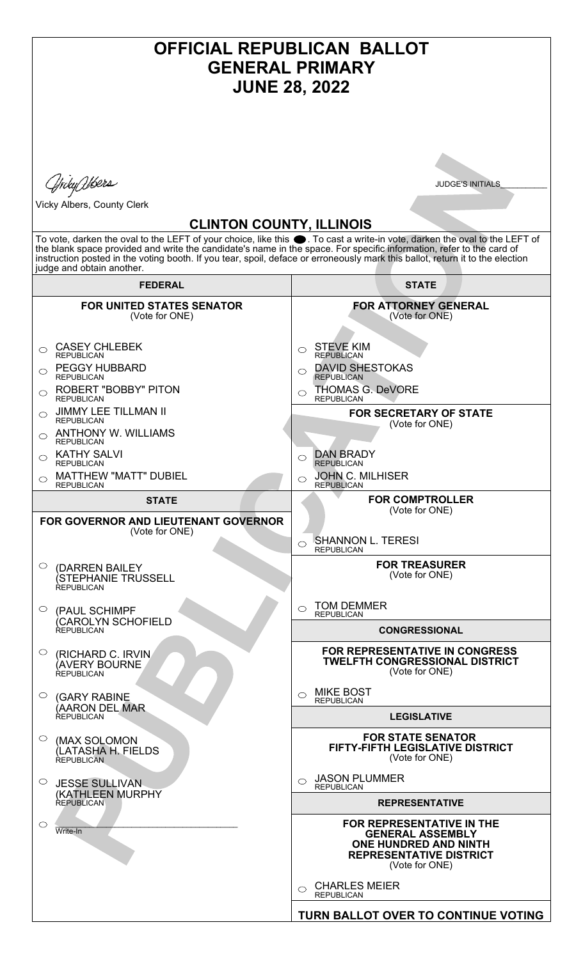| <b>OFFICIAL REPUBLICAN BALLOT</b><br><b>GENERAL PRIMARY</b><br><b>JUNE 28, 2022</b>                                                                                                                                                                                                                                                                                                                                                                                                                 |                                                                                                                                                                                                                                                                                                                                                                                                                                                                                           |
|-----------------------------------------------------------------------------------------------------------------------------------------------------------------------------------------------------------------------------------------------------------------------------------------------------------------------------------------------------------------------------------------------------------------------------------------------------------------------------------------------------|-------------------------------------------------------------------------------------------------------------------------------------------------------------------------------------------------------------------------------------------------------------------------------------------------------------------------------------------------------------------------------------------------------------------------------------------------------------------------------------------|
| .ffrdyQlbers<br>Vicky Albers, County Clerk<br><b>CLINTON COUNTY, ILLINOIS</b><br>To vote, darken the oval to the LEFT of your choice, like this ●. To cast a write-in vote, darken the oval to the LEFT of<br>the blank space provided and write the candidate's name in the space. For specific information, refer to the card of<br>instruction posted in the voting booth. If you tear, spoil, deface or erroneously mark this ballot, return it to the election<br>judge and obtain another.    | <b>JUDGE'S INITIALS</b>                                                                                                                                                                                                                                                                                                                                                                                                                                                                   |
| <b>FEDERAL</b>                                                                                                                                                                                                                                                                                                                                                                                                                                                                                      | <b>STATE</b>                                                                                                                                                                                                                                                                                                                                                                                                                                                                              |
| <b>FOR UNITED STATES SENATOR</b><br>(Vote for ONE)<br><b>CASEY CHLEBEK</b><br>⌒<br><b>REPUBLICAN</b><br><b>PEGGY HUBBARD</b><br>◯<br><b>REPUBLICAN</b><br><b>ROBERT "BOBBY" PITON</b><br>◯<br><b>REPUBLICAN</b><br><b>JIMMY LEE TILLMAN II</b><br>◯<br><b>REPUBLICAN</b><br><b>ANTHONY W. WILLIAMS</b><br>⌒<br><b>REPUBLICAN</b><br><b>KATHY SALVI</b><br><b>REPUBLICAN</b><br><b>MATTHEW "MATT" DUBIEL</b><br><b>REPUBLICAN</b><br>STATE<br>FOR GOVERNOR AND LIEUTENANT GOVERNOR<br>(Vote for ONE) | <b>FOR ATTORNEY GENERAL</b><br>(Vote for ONE)<br><b>STEVE KIM</b><br>$\bigcirc$<br><b>REPUBLICAN</b><br><b>DAVID SHESTOKAS</b><br>$\bigcirc$<br><b>REPUBLICAN</b><br>THOMAS G. DeVORE<br><b>REPUBLICAN</b><br><b>FOR SECRETARY OF STATE</b><br>(Vote for ONE)<br><b>DAN BRADY</b><br><b>REPUBLICAN</b><br><b>JOHN C. MILHISER</b><br><b>REPUBLICAN</b><br><b>FOR COMPTROLLER</b><br>(Vote for ONE)<br><b>SHANNON L. TERESI</b><br>$\bigcirc$<br><b>REPUBLICAN</b><br><b>FOR TREASURER</b> |
| $\circ$<br>(DARREN BAILEY)<br><i><b>(STEPHANIE TRUSSELL</b></i><br>REPUBLICAN<br>○<br>(PAUL SCHIMPF<br>(CAROLYN SCHOFIELD<br><b>REPUBLICAN</b>                                                                                                                                                                                                                                                                                                                                                      | (Vote for ONE)<br><b>TOM DEMMER</b><br>◯<br><b>REPUBLICAN</b><br><b>CONGRESSIONAL</b>                                                                                                                                                                                                                                                                                                                                                                                                     |
| O.<br>(RICHARD C. IRVIN)<br>(AVERY BOURNE<br>REPUBLICAN<br>$\circ$<br>(GARY RABINE<br>(AARON DEL MAR<br><b>REPUBLICAN</b>                                                                                                                                                                                                                                                                                                                                                                           | <b>FOR REPRESENTATIVE IN CONGRESS</b><br><b>TWELFTH CONGRESSIONAL DISTRICT</b><br>(Vote for ONE)<br><b>MIKE BOST</b><br><b>REPUBLICAN</b><br><b>LEGISLATIVE</b>                                                                                                                                                                                                                                                                                                                           |
| $\circ$<br>(MAX SOLOMON<br>(LATASHA H. FIELDS<br><b>REPUBLICAN</b><br>$\circ$<br><b>JESSE SULLIVAN</b><br><b>(KATHLEEN MURPHY</b>                                                                                                                                                                                                                                                                                                                                                                   | <b>FOR STATE SENATOR</b><br>FIFTY-FIFTH LEGISLATIVE DISTRICT<br>(Vote for ONE)<br><b>JASON PLUMMER</b><br>$\bigcirc$<br><b>REPUBLICAN</b>                                                                                                                                                                                                                                                                                                                                                 |
| REPUBLICAN<br>$\circlearrowright$<br>Write-In                                                                                                                                                                                                                                                                                                                                                                                                                                                       | <b>REPRESENTATIVE</b><br>FOR REPRESENTATIVE IN THE<br><b>GENERAL ASSEMBLY</b><br><b>ONE HUNDRED AND NINTH</b><br><b>REPRESENTATIVE DISTRICT</b><br>(Vote for ONE)                                                                                                                                                                                                                                                                                                                         |
|                                                                                                                                                                                                                                                                                                                                                                                                                                                                                                     | <b>CHARLES MEIER</b><br><b>REPUBLICAN</b><br>TURN BALLOT OVER TO CONTINUE VOTING                                                                                                                                                                                                                                                                                                                                                                                                          |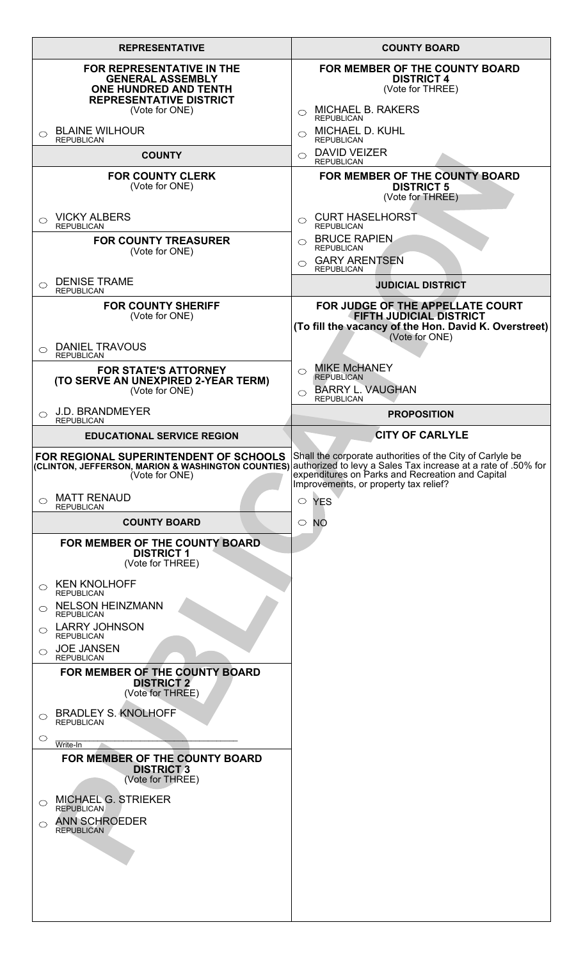|            | <b>REPRESENTATIVE</b>                                                                                                                           | <b>COUNTY BOARD</b>                                                                                                                                                                                           |
|------------|-------------------------------------------------------------------------------------------------------------------------------------------------|---------------------------------------------------------------------------------------------------------------------------------------------------------------------------------------------------------------|
|            | <b>FOR REPRESENTATIVE IN THE</b><br><b>GENERAL ASSEMBLY</b><br><b>ONE HUNDRED AND TENTH</b><br><b>REPRESENTATIVE DISTRICT</b><br>(Vote for ONE) | FOR MEMBER OF THE COUNTY BOARD<br><b>DISTRICT 4</b><br>(Vote for THREE)<br><b>MICHAEL B. RAKERS</b><br>◯<br><b>REPUBLICAN</b>                                                                                 |
| ◯          | <b>BLAINE WILHOUR</b><br><b>REPUBLICAN</b>                                                                                                      | <b>MICHAEL D. KUHL</b><br>◯<br><b>REPUBLICAN</b>                                                                                                                                                              |
|            | <b>COUNTY</b>                                                                                                                                   | <b>DAVID VEIZER</b><br>◯<br><b>REPUBLICAN</b>                                                                                                                                                                 |
|            | <b>FOR COUNTY CLERK</b><br>(Vote for ONE)                                                                                                       | FOR MEMBER OF THE COUNTY BOARD<br><b>DISTRICT 5</b><br>(Vote for THREE)                                                                                                                                       |
| $\bigcirc$ | <b>VICKY ALBERS</b><br><b>REPUBLICAN</b>                                                                                                        | <b>CURT HASELHORST</b><br>$\bigcirc$<br><b>REPUBLICAN</b>                                                                                                                                                     |
|            | <b>FOR COUNTY TREASURER</b><br>(Vote for ONE)                                                                                                   | <b>BRUCE RAPIEN.</b><br>$\circ$<br><b>REPUBLICAN</b><br><b>GARY ARENTSEN</b><br>⌒<br><b>REPUBLICAN</b>                                                                                                        |
| ◯          | <b>DENISE TRAME</b><br><b>REPUBLICAN</b>                                                                                                        | <b>JUDICIAL DISTRICT</b>                                                                                                                                                                                      |
|            | <b>FOR COUNTY SHERIFF</b><br>(Vote for ONE)<br><b>DANIEL TRAVOUS</b>                                                                            | FOR JUDGE OF THE APPELLATE COURT<br><b>FIFTH JUDICIAL DISTRICT</b><br>(To fill the vacancy of the Hon. David K. Overstreet)<br>(Vote for ONE)                                                                 |
| $\bigcirc$ | <b>REPUBLICAN</b><br><b>FOR STATE'S ATTORNEY</b><br>(TO SERVE AN UNEXPIRED 2-YEAR TERM)<br>(Vote for ONE)                                       | <b>MIKE McHANEY</b><br>$\bigcirc$<br><b>REPUBLICAN</b><br><b>BARRY L. VAUGHAN</b><br>$\bigcirc$                                                                                                               |
| $\bigcirc$ | <b>J.D. BRANDMEYER</b><br><b>REPUBLICAN</b>                                                                                                     | <b>REPUBLICAN</b><br><b>PROPOSITION</b>                                                                                                                                                                       |
|            | <b>EDUCATIONAL SERVICE REGION</b>                                                                                                               | <b>CITY OF CARLYLE</b>                                                                                                                                                                                        |
|            | FOR REGIONAL SUPERINTENDENT OF SCHOOLS Shall the corporate authorities of the City of Carlyle be<br>(Vote for ONE)                              | (CLINTON, JEFFERSON, MARION & WASHINGTON COUNTIES) authorized to levy a Sales Tax increase at a rate of .50% for<br>expenditures on Parks and Recreation and Capital<br>Improvements, or property tax relief? |
| $\bigcirc$ | <b>MATT RENAUD</b><br><b>REPUBLICAN</b>                                                                                                         | $\circ$ YES                                                                                                                                                                                                   |
|            | <b>COUNTY BOARD</b><br>FOR MEMBER OF THE COUNTY BOARD                                                                                           | <b>NO</b><br>$\circ$                                                                                                                                                                                          |
|            | <b>DISTRICT 1</b><br>(Vote for THREE)                                                                                                           |                                                                                                                                                                                                               |
| ◯          | <b>KEN KNOLHOFF</b><br><b>REPUBLICAN</b>                                                                                                        |                                                                                                                                                                                                               |
| $\bigcirc$ | <b>NELSON HEINZMANN</b><br><b>REPUBLICAN</b>                                                                                                    |                                                                                                                                                                                                               |
| $\bigcirc$ | <b>LARRY JOHNSON</b><br><b>REPUBLICAN</b><br>$\circ$ JOE JANSEN                                                                                 |                                                                                                                                                                                                               |
|            | <b>REPUBLICAN</b><br>FOR MEMBER OF THE COUNTY BOARD<br><b>DISTRICT 2</b><br>(Vote for THREE)                                                    |                                                                                                                                                                                                               |
| $\bigcirc$ | <b>BRADLEY S. KNOLHOFF</b><br><b>REPUBLICAN</b>                                                                                                 |                                                                                                                                                                                                               |
| $\circ$    | Write-In                                                                                                                                        |                                                                                                                                                                                                               |
|            | FOR MEMBER OF THE COUNTY BOARD<br><b>DISTRICT 3</b><br>(Vote for THREE)                                                                         |                                                                                                                                                                                                               |
| $\circ$    | <b>MICHAEL G. STRIEKER</b><br><b>REPUBLICAN</b>                                                                                                 |                                                                                                                                                                                                               |
| $\bigcirc$ | <b>ANN SCHROEDER</b><br><b>REPUBLICAN</b>                                                                                                       |                                                                                                                                                                                                               |
|            |                                                                                                                                                 |                                                                                                                                                                                                               |
|            |                                                                                                                                                 |                                                                                                                                                                                                               |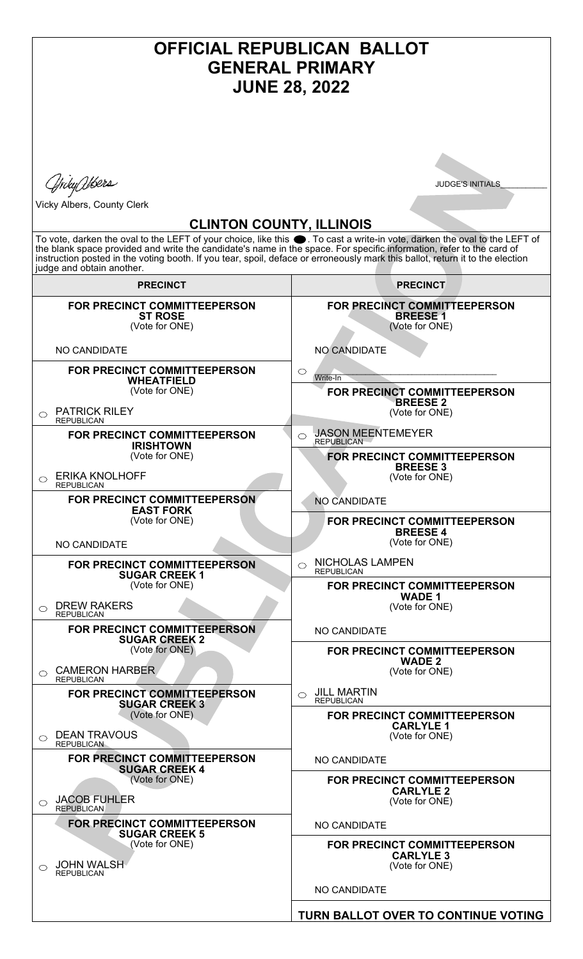| OFFICIAL REPUBLICAN BALLOT<br><b>GENERAL PRIMARY</b><br><b>JUNE 28, 2022</b>                                                                                                                                                                                                                                                                                                                                                                                                                                               |                                                                                                                                          |
|----------------------------------------------------------------------------------------------------------------------------------------------------------------------------------------------------------------------------------------------------------------------------------------------------------------------------------------------------------------------------------------------------------------------------------------------------------------------------------------------------------------------------|------------------------------------------------------------------------------------------------------------------------------------------|
| ffrdyQlbers<br><b>JUDGE'S INITIALS</b><br>Vicky Albers, County Clerk<br><b>CLINTON COUNTY, ILLINOIS</b><br>To vote, darken the oval to the LEFT of your choice, like this ●. To cast a write-in vote, darken the oval to the LEFT of<br>the blank space provided and write the candidate's name in the space. For specific information, refer to the card of<br>instruction posted in the voting booth. If you tear, spoil, deface or erroneously mark this ballot, return it to the election<br>judge and obtain another. |                                                                                                                                          |
| <b>PRECINCT</b>                                                                                                                                                                                                                                                                                                                                                                                                                                                                                                            | <b>PRECINCT</b>                                                                                                                          |
| <b>FOR PRECINCT COMMITTEEPERSON</b><br><b>ST ROSE</b><br>(Vote for ONE)<br><b>NO CANDIDATE</b>                                                                                                                                                                                                                                                                                                                                                                                                                             | FOR PRECINCT COMMITTEEPERSON<br><b>BREESE1</b><br>(Vote for ONE)<br>NO CANDIDATE                                                         |
| <b>FOR PRECINCT COMMITTEEPERSON</b><br><b>WHEATFIELD</b><br>(Vote for ONE)<br><b>PATRICK RILEY</b><br>$\bigcirc$                                                                                                                                                                                                                                                                                                                                                                                                           | $\circ$<br>Write-In<br>FOR PRECINCT COMMITTEEPERSON<br><b>BREESE 2</b><br>(Vote for ONE)                                                 |
| <b>REPUBLICAN</b><br>FOR PRECINCT COMMITTEEPERSON<br><b>IRISHTOWN</b><br>(Vote for ONE)<br><b>ERIKA KNOLHOFF</b><br>⌒<br><b>REPUBLICAN</b>                                                                                                                                                                                                                                                                                                                                                                                 | <b>JASON MEENTEMEYER</b><br>⌒<br><b>REPUBLICAN</b><br>FOR PRECINCT COMMITTEEPERSON<br><b>BREESE 3</b><br>(Vote for ONE)                  |
| FOR PRECINCT COMMITTEEPERSON<br><b>EAST FORK</b><br>(Vote for ONE)<br><b>NO CANDIDATE</b>                                                                                                                                                                                                                                                                                                                                                                                                                                  | NO CANDIDATE<br>FOR PRECINCT COMMITTEEPERSON<br><b>BREESE 4</b><br>(Vote for ONE)                                                        |
| <b>FOR PRECINCT COMMITTEEPERSON</b><br><b>SUGAR CREEK 1</b><br>(Vote for ONE)<br><b>DREW RAKERS</b><br>◯<br><b>REPUBLICAN</b>                                                                                                                                                                                                                                                                                                                                                                                              | NICHOLAS LAMPEN<br>$\bigcirc$<br><b>REPUBLICAN</b><br>FOR PRECINCT COMMITTEEPERSON<br><b>WADE 1</b><br>(Vote for ONE)                    |
| FOR PRECINCT COMMITTEEPERSON<br><b>SUGAR CREEK 2</b><br>(Vote for ONE)<br><b>CAMERON HARBER</b><br>◯<br><b>REPUBLICAN</b><br>FOR PRECINCT COMMITTEEPERSON                                                                                                                                                                                                                                                                                                                                                                  | NO CANDIDATE<br>FOR PRECINCT COMMITTEEPERSON<br><b>WADE 2</b><br>(Vote for ONE)<br><b>JILL MARTIN</b><br>$\bigcirc$<br><b>REPUBLICAN</b> |
| <b>SUGAR CREEK 3</b><br>(Vote for ONE)<br><b>DEAN TRAVOUS</b><br>$\bigcirc$<br><b>REPUBLICAN</b><br>FOR PRECINCT COMMITTEEPERSON                                                                                                                                                                                                                                                                                                                                                                                           | FOR PRECINCT COMMITTEEPERSON<br><b>CARLYLE 1</b><br>(Vote for ONE)<br>NO CANDIDATE                                                       |
| <b>SUGAR CREEK 4</b><br>(Vote for ONE)<br><b>JACOB FUHLER</b><br>⌒<br><b>REPUBLICAN</b>                                                                                                                                                                                                                                                                                                                                                                                                                                    | FOR PRECINCT COMMITTEEPERSON<br><b>CARLYLE 2</b><br>(Vote for ONE)                                                                       |
| <b>FOR PRECINCT COMMITTEEPERSON</b><br><b>SUGAR CREEK 5</b><br>(Vote for ONE)<br><b>JOHN WALSH</b><br><b>REPUBLICAN</b>                                                                                                                                                                                                                                                                                                                                                                                                    | NO CANDIDATE<br>FOR PRECINCT COMMITTEEPERSON<br><b>CARLYLE 3</b><br>(Vote for ONE)                                                       |
|                                                                                                                                                                                                                                                                                                                                                                                                                                                                                                                            | NO CANDIDATE                                                                                                                             |
|                                                                                                                                                                                                                                                                                                                                                                                                                                                                                                                            | TURN BALLOT OVER TO CONTINUE VOTING                                                                                                      |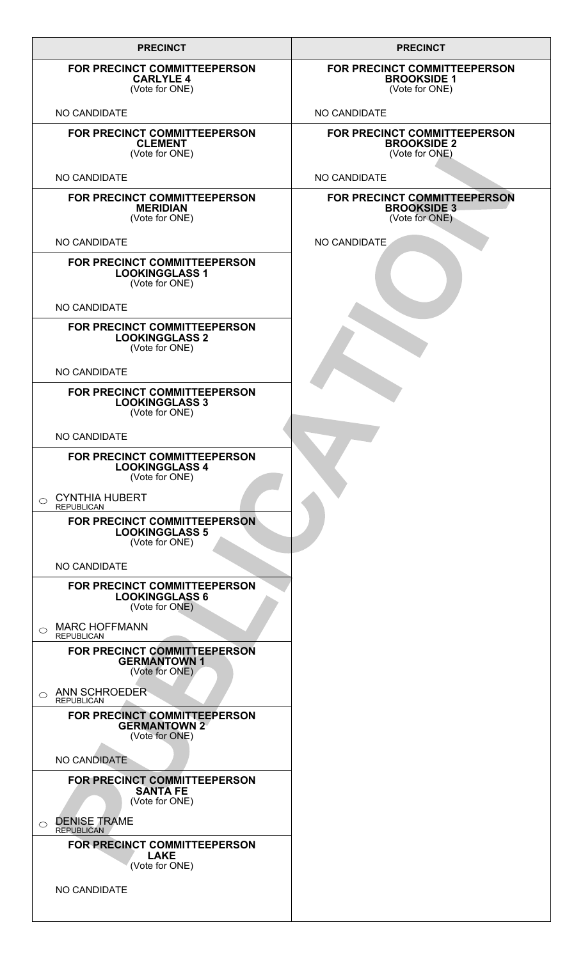| <b>PRECINCT</b>                                                                | <b>PRECINCT</b>                                                      |
|--------------------------------------------------------------------------------|----------------------------------------------------------------------|
| FOR PRECINCT COMMITTEEPERSON<br><b>CARLYLE 4</b><br>(Vote for ONE)             | FOR PRECINCT COMMITTEEPERSON<br><b>BROOKSIDE 1</b><br>(Vote for ONE) |
| NO CANDIDATE                                                                   | NO CANDIDATE                                                         |
| <b>FOR PRECINCT COMMITTEEPERSON</b><br><b>CLEMENT</b><br>(Vote for ONE)        | FOR PRECINCT COMMITTEEPERSON<br><b>BROOKSIDE 2</b><br>(Vote for ONE) |
| NO CANDIDATE                                                                   | NO CANDIDATE                                                         |
| FOR PRECINCT COMMITTEEPERSON<br><b>MERIDIAN</b><br>(Vote for ONE)              | FOR PRECINCT COMMITTEEPERSON<br><b>BROOKSIDE 3</b><br>(Vote for ONE) |
| NO CANDIDATE                                                                   | NO CANDIDATE                                                         |
| FOR PRECINCT COMMITTEEPERSON<br><b>LOOKINGGLASS 1</b><br>(Vote for ONE)        |                                                                      |
| NO CANDIDATE                                                                   |                                                                      |
| FOR PRECINCT COMMITTEEPERSON<br><b>LOOKINGGLASS 2</b><br>(Vote for ONE)        |                                                                      |
| NO CANDIDATE                                                                   |                                                                      |
| FOR PRECINCT COMMITTEEPERSON<br><b>LOOKINGGLASS 3</b><br>(Vote for ONE)        |                                                                      |
| NO CANDIDATE                                                                   |                                                                      |
| FOR PRECINCT COMMITTEEPERSON<br><b>LOOKINGGLASS 4</b><br>(Vote for ONE)        |                                                                      |
| <b>CYNTHIA HUBERT</b><br>$\circ$<br><b>REPUBLICAN</b>                          |                                                                      |
| <b>FOR PRECINCT COMMITTEEPERSON</b><br><b>LOOKINGGLASS 5</b><br>(Vote for ONE) |                                                                      |
| NO CANDIDATE                                                                   |                                                                      |
| <b>FOR PRECINCT COMMITTEEPERSON</b><br><b>LOOKINGGLASS 6</b><br>(Vote for ONE) |                                                                      |
| <b>MARC HOFFMANN</b><br>$\bigcirc$<br><b>REPUBLICAN</b>                        |                                                                      |
| FOR PRECINCT COMMITTEEPERSON<br><b>GERMANTOWN 1</b><br>(Vote for ONE)          |                                                                      |
| ANN SCHROEDER<br>$\circ$<br><b>REPUBLICAN</b>                                  |                                                                      |
| FOR PRECINCT COMMITTEEPERSON<br><b>GERMANTOWN 2</b><br>(Vote for ONE)          |                                                                      |
| NO CANDIDATE                                                                   |                                                                      |
| FOR PRECINCT COMMITTEEPERSON<br><b>SANTA FE</b><br>(Vote for ONE)              |                                                                      |
| <b>DENISE TRAME</b><br>$\bigcirc$<br><b>REPUBLICAN</b>                         |                                                                      |
| FOR PRECINCT COMMITTEEPERSON<br><b>LAKE</b><br>(Vote for ONE)                  |                                                                      |
| NO CANDIDATE                                                                   |                                                                      |